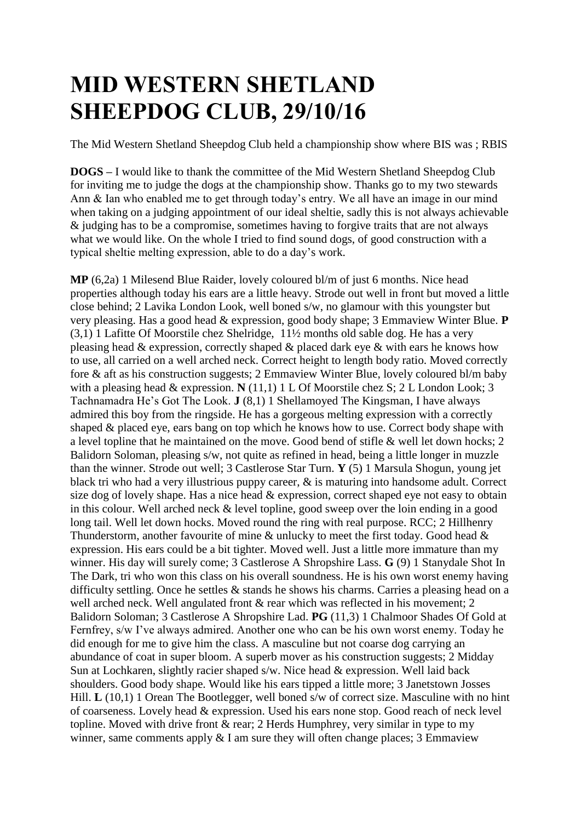## **MID WESTERN SHETLAND SHEEPDOG CLUB, 29/10/16**

The Mid Western Shetland Sheepdog Club held a championship show where BIS was ; RBIS

**DOGS –** I would like to thank the committee of the Mid Western Shetland Sheepdog Club for inviting me to judge the dogs at the championship show. Thanks go to my two stewards Ann & Ian who enabled me to get through today's entry. We all have an image in our mind when taking on a judging appointment of our ideal sheltie, sadly this is not always achievable & judging has to be a compromise, sometimes having to forgive traits that are not always what we would like. On the whole I tried to find sound dogs, of good construction with a typical sheltie melting expression, able to do a day's work.

**MP** (6,2a) 1 Milesend Blue Raider, lovely coloured bl/m of just 6 months. Nice head properties although today his ears are a little heavy. Strode out well in front but moved a little close behind; 2 Lavika London Look, well boned s/w, no glamour with this youngster but very pleasing. Has a good head & expression, good body shape; 3 Emmaview Winter Blue. **P** (3,1) 1 Lafitte Of Moorstile chez Shelridge, 11½ months old sable dog. He has a very pleasing head & expression, correctly shaped & placed dark eye & with ears he knows how to use, all carried on a well arched neck. Correct height to length body ratio. Moved correctly fore & aft as his construction suggests; 2 Emmaview Winter Blue, lovely coloured bl/m baby with a pleasing head & expression. **N** (11,1) 1 L Of Moorstile chez S; 2 L London Look; 3 Tachnamadra He's Got The Look. **J** (8,1) 1 Shellamoyed The Kingsman, I have always admired this boy from the ringside. He has a gorgeous melting expression with a correctly shaped & placed eye, ears bang on top which he knows how to use. Correct body shape with a level topline that he maintained on the move. Good bend of stifle & well let down hocks; 2 Balidorn Soloman, pleasing s/w, not quite as refined in head, being a little longer in muzzle than the winner. Strode out well; 3 Castlerose Star Turn. **Y** (5) 1 Marsula Shogun, young jet black tri who had a very illustrious puppy career, & is maturing into handsome adult. Correct size dog of lovely shape. Has a nice head & expression, correct shaped eye not easy to obtain in this colour. Well arched neck & level topline, good sweep over the loin ending in a good long tail. Well let down hocks. Moved round the ring with real purpose. RCC; 2 Hillhenry Thunderstorm, another favourite of mine & unlucky to meet the first today. Good head & expression. His ears could be a bit tighter. Moved well. Just a little more immature than my winner. His day will surely come; 3 Castlerose A Shropshire Lass. **G** (9) 1 Stanydale Shot In The Dark, tri who won this class on his overall soundness. He is his own worst enemy having difficulty settling. Once he settles & stands he shows his charms. Carries a pleasing head on a well arched neck. Well angulated front & rear which was reflected in his movement; 2 Balidorn Soloman; 3 Castlerose A Shropshire Lad. **PG** (11,3) 1 Chalmoor Shades Of Gold at Fernfrey, s/w I've always admired. Another one who can be his own worst enemy. Today he did enough for me to give him the class. A masculine but not coarse dog carrying an abundance of coat in super bloom. A superb mover as his construction suggests; 2 Midday Sun at Lochkaren, slightly racier shaped s/w. Nice head & expression. Well laid back shoulders. Good body shape. Would like his ears tipped a little more; 3 Janetstown Josses Hill. **L** (10,1) 1 Orean The Bootlegger, well boned s/w of correct size. Masculine with no hint of coarseness. Lovely head & expression. Used his ears none stop. Good reach of neck level topline. Moved with drive front & rear; 2 Herds Humphrey, very similar in type to my winner, same comments apply & I am sure they will often change places; 3 Emmaview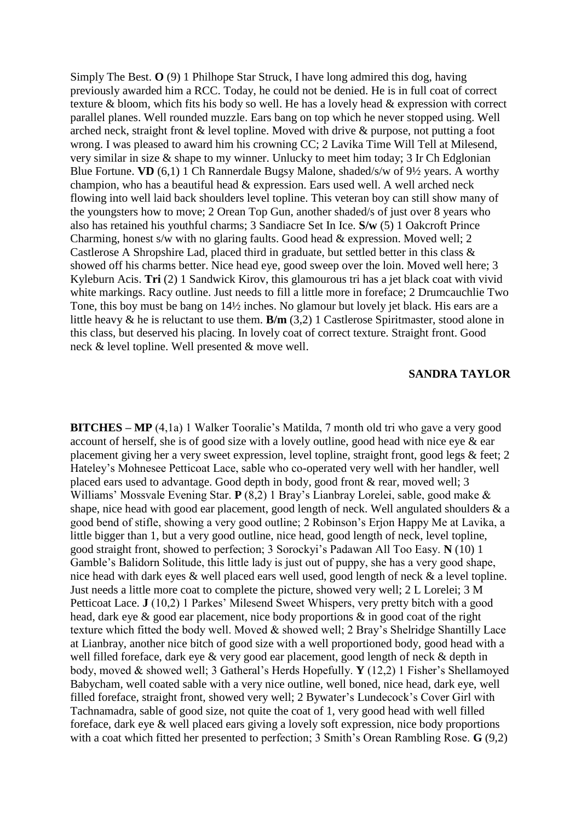Simply The Best. **O** (9) 1 Philhope Star Struck, I have long admired this dog, having previously awarded him a RCC. Today, he could not be denied. He is in full coat of correct texture & bloom, which fits his body so well. He has a lovely head & expression with correct parallel planes. Well rounded muzzle. Ears bang on top which he never stopped using. Well arched neck, straight front & level topline. Moved with drive & purpose, not putting a foot wrong. I was pleased to award him his crowning CC; 2 Lavika Time Will Tell at Milesend, very similar in size & shape to my winner. Unlucky to meet him today; 3 Ir Ch Edglonian Blue Fortune. **VD** (6,1) 1 Ch Rannerdale Bugsy Malone, shaded/s/w of 9½ years. A worthy champion, who has a beautiful head & expression. Ears used well. A well arched neck flowing into well laid back shoulders level topline. This veteran boy can still show many of the youngsters how to move; 2 Orean Top Gun, another shaded/s of just over 8 years who also has retained his youthful charms; 3 Sandiacre Set In Ice. **S/w** (5) 1 Oakcroft Prince Charming, honest s/w with no glaring faults. Good head & expression. Moved well; 2 Castlerose A Shropshire Lad, placed third in graduate, but settled better in this class & showed off his charms better. Nice head eye, good sweep over the loin. Moved well here; 3 Kyleburn Acis. **Tri** (2) 1 Sandwick Kirov, this glamourous tri has a jet black coat with vivid white markings. Racy outline. Just needs to fill a little more in foreface; 2 Drumcauchlie Two Tone, this boy must be bang on 14½ inches. No glamour but lovely jet black. His ears are a little heavy & he is reluctant to use them. **B/m** (3,2) 1 Castlerose Spiritmaster, stood alone in this class, but deserved his placing. In lovely coat of correct texture. Straight front. Good neck & level topline. Well presented & move well.

## **SANDRA TAYLOR**

**BITCHES – MP** (4,1a) 1 Walker Tooralie's Matilda, 7 month old tri who gave a very good account of herself, she is of good size with a lovely outline, good head with nice eye & ear placement giving her a very sweet expression, level topline, straight front, good legs & feet; 2 Hateley's Mohnesee Petticoat Lace, sable who co-operated very well with her handler, well placed ears used to advantage. Good depth in body, good front & rear, moved well; 3 Williams' Mossvale Evening Star. **P** (8,2) 1 Bray's Lianbray Lorelei, sable, good make & shape, nice head with good ear placement, good length of neck. Well angulated shoulders & a good bend of stifle, showing a very good outline; 2 Robinson's Erjon Happy Me at Lavika, a little bigger than 1, but a very good outline, nice head, good length of neck, level topline, good straight front, showed to perfection; 3 Sorockyi's Padawan All Too Easy. **N** (10) 1 Gamble's Balidorn Solitude, this little lady is just out of puppy, she has a very good shape, nice head with dark eyes & well placed ears well used, good length of neck & a level topline. Just needs a little more coat to complete the picture, showed very well; 2 L Lorelei; 3 M Petticoat Lace. **J** (10,2) 1 Parkes' Milesend Sweet Whispers, very pretty bitch with a good head, dark eye & good ear placement, nice body proportions & in good coat of the right texture which fitted the body well. Moved & showed well; 2 Bray's Shelridge Shantilly Lace at Lianbray, another nice bitch of good size with a well proportioned body, good head with a well filled foreface, dark eye & very good ear placement, good length of neck & depth in body, moved & showed well; 3 Gatheral's Herds Hopefully. **Y** (12,2) 1 Fisher's Shellamoyed Babycham, well coated sable with a very nice outline, well boned, nice head, dark eye, well filled foreface, straight front, showed very well; 2 Bywater's Lundecock's Cover Girl with Tachnamadra, sable of good size, not quite the coat of 1, very good head with well filled foreface, dark eye & well placed ears giving a lovely soft expression, nice body proportions with a coat which fitted her presented to perfection; 3 Smith's Orean Rambling Rose. **G** (9,2)